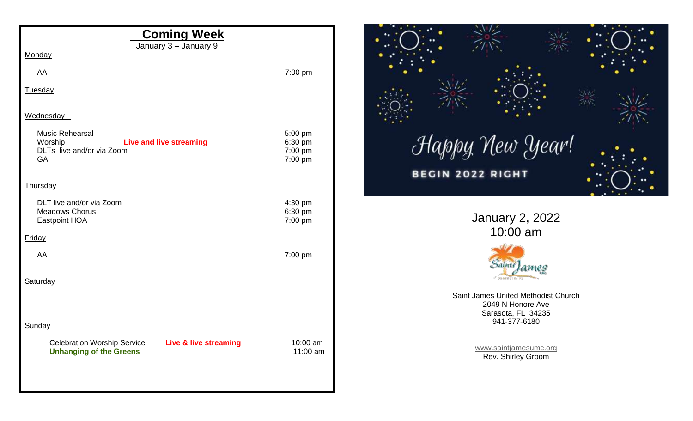| <b>Coming Week</b><br>January 3 - January 9                                                              |                                          |                   |
|----------------------------------------------------------------------------------------------------------|------------------------------------------|-------------------|
| Monday                                                                                                   |                                          |                   |
| AA                                                                                                       | 7:00 pm                                  |                   |
| Tuesday                                                                                                  |                                          |                   |
| Wednesday                                                                                                |                                          |                   |
| Music Rehearsal<br><b>Live and live streaming</b><br>Worship<br>DLTs live and/or via Zoom<br>GA          | 5:00 pm<br>6:30 pm<br>7:00 pm<br>7:00 pm | ${\mathcal H}$ ak |
| Thursday                                                                                                 |                                          |                   |
| DLT live and/or via Zoom<br><b>Meadows Chorus</b><br>Eastpoint HOA                                       | 4:30 pm<br>6:30 pm<br>7:00 pm            |                   |
| Friday                                                                                                   |                                          |                   |
| AA                                                                                                       | 7:00 pm                                  |                   |
| Saturday                                                                                                 |                                          |                   |
|                                                                                                          |                                          |                   |
| Sunday                                                                                                   |                                          |                   |
| <b>Celebration Worship Service</b><br><b>Live &amp; live streaming</b><br><b>Unhanging of the Greens</b> | 10:00 am<br>11:00 am                     |                   |
|                                                                                                          |                                          |                   |



January 2, 2022 10:00 am



Saint James United Methodist Church 2049 N Honore Ave Sarasota, FL 34235 941-377-6180

> [www.saintjamesumc.org](http://www.saintjamesumc.org/) Rev. Shirley Groom